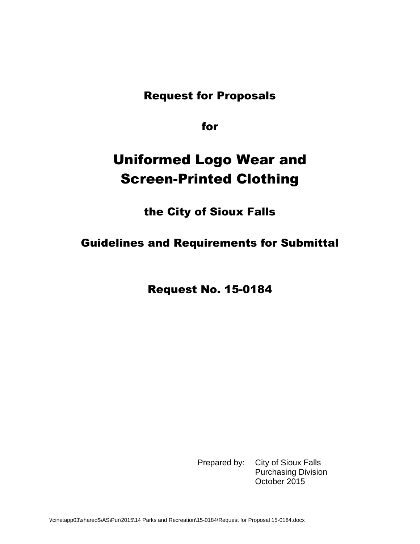Request for Proposals

for

## Uniformed Logo Wear and Screen-Printed Clothing

the City of Sioux Falls

Guidelines and Requirements for Submittal

Request No. 15-0184

Prepared by: City of Sioux Falls Purchasing Division October 2015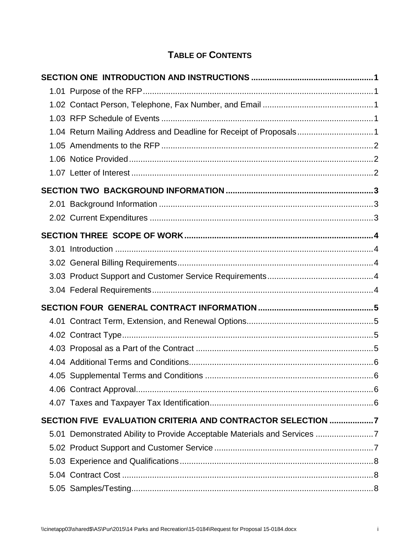## **TABLE OF CONTENTS**

| 1.04 Return Mailing Address and Deadline for Receipt of Proposals1       |  |
|--------------------------------------------------------------------------|--|
|                                                                          |  |
|                                                                          |  |
|                                                                          |  |
|                                                                          |  |
|                                                                          |  |
|                                                                          |  |
|                                                                          |  |
|                                                                          |  |
|                                                                          |  |
|                                                                          |  |
|                                                                          |  |
|                                                                          |  |
|                                                                          |  |
|                                                                          |  |
|                                                                          |  |
|                                                                          |  |
|                                                                          |  |
|                                                                          |  |
|                                                                          |  |
| SECTION FIVE EVALUATION CRITERIA AND CONTRACTOR SELECTION 7              |  |
| 5.01 Demonstrated Ability to Provide Acceptable Materials and Services 7 |  |
|                                                                          |  |
|                                                                          |  |
|                                                                          |  |
|                                                                          |  |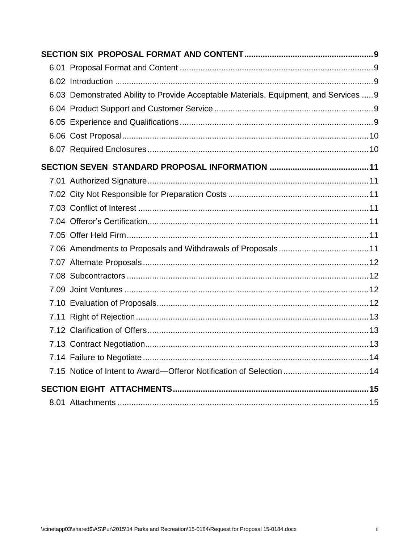| 6.03 Demonstrated Ability to Provide Acceptable Materials, Equipment, and Services  9 |
|---------------------------------------------------------------------------------------|
|                                                                                       |
|                                                                                       |
|                                                                                       |
|                                                                                       |
|                                                                                       |
|                                                                                       |
|                                                                                       |
|                                                                                       |
|                                                                                       |
|                                                                                       |
|                                                                                       |
|                                                                                       |
|                                                                                       |
|                                                                                       |
|                                                                                       |
|                                                                                       |
|                                                                                       |
|                                                                                       |
|                                                                                       |
| 7.15 Notice of Intent to Award—Offeror Notification of Selection  14                  |
|                                                                                       |
|                                                                                       |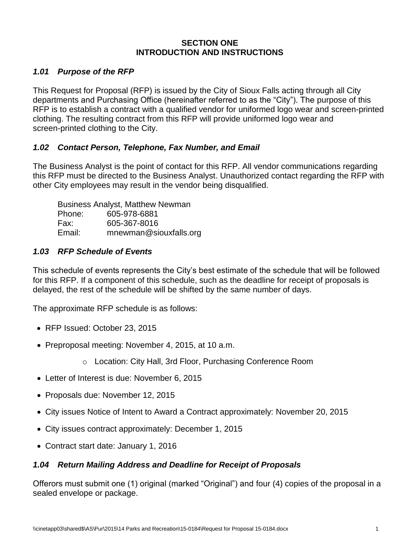#### **SECTION ONE INTRODUCTION AND INSTRUCTIONS**

### <span id="page-3-1"></span><span id="page-3-0"></span>*1.01 Purpose of the RFP*

This Request for Proposal (RFP) is issued by the City of Sioux Falls acting through all City departments and Purchasing Office (hereinafter referred to as the "City"). The purpose of this RFP is to establish a contract with a qualified vendor for uniformed logo wear and screen-printed clothing. The resulting contract from this RFP will provide uniformed logo wear and screen-printed clothing to the City.

### <span id="page-3-2"></span>*1.02 Contact Person, Telephone, Fax Number, and Email*

The Business Analyst is the point of contact for this RFP. All vendor communications regarding this RFP must be directed to the Business Analyst. Unauthorized contact regarding the RFP with other City employees may result in the vendor being disqualified.

Business Analyst, Matthew Newman Phone: 605-978-6881 Fax: 605-367-8016 Email: mnewman@siouxfalls.org

### <span id="page-3-3"></span>*1.03 RFP Schedule of Events*

This schedule of events represents the City's best estimate of the schedule that will be followed for this RFP. If a component of this schedule, such as the deadline for receipt of proposals is delayed, the rest of the schedule will be shifted by the same number of days.

The approximate RFP schedule is as follows:

- RFP Issued: October 23, 2015
- Preproposal meeting: November 4, 2015, at 10 a.m.
	- o Location: City Hall, 3rd Floor, Purchasing Conference Room
- Letter of Interest is due: November 6, 2015
- Proposals due: November 12, 2015
- City issues Notice of Intent to Award a Contract approximately: November 20, 2015
- City issues contract approximately: December 1, 2015
- Contract start date: January 1, 2016

## <span id="page-3-4"></span>*1.04 Return Mailing Address and Deadline for Receipt of Proposals*

Offerors must submit one (1) original (marked "Original") and four (4) copies of the proposal in a sealed envelope or package.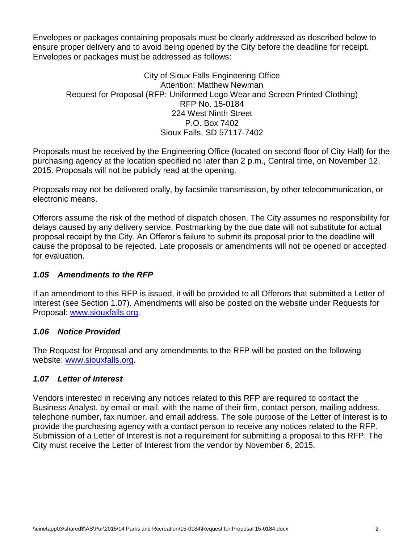Envelopes or packages containing proposals must be clearly addressed as described below to ensure proper delivery and to avoid being opened by the City before the deadline for receipt. Envelopes or packages must be addressed as follows:

City of Sioux Falls Engineering Office Attention: Matthew Newman Request for Proposal (RFP: Uniformed Logo Wear and Screen Printed Clothing) RFP No. 15-0184 224 West Ninth Street P.O. Box 7402 Sioux Falls, SD 57117-7402

Proposals must be received by the Engineering Office (located on second floor of City Hall) for the purchasing agency at the location specified no later than 2 p.m., Central time, on November 12, 2015. Proposals will not be publicly read at the opening.

Proposals may not be delivered orally, by facsimile transmission, by other telecommunication, or electronic means.

Offerors assume the risk of the method of dispatch chosen. The City assumes no responsibility for delays caused by any delivery service. Postmarking by the due date will not substitute for actual proposal receipt by the City. An Offeror's failure to submit its proposal prior to the deadline will cause the proposal to be rejected. Late proposals or amendments will not be opened or accepted for evaluation.

#### <span id="page-4-0"></span>*1.05 Amendments to the RFP*

If an amendment to this RFP is issued, it will be provided to all Offerors that submitted a Letter of Interest (see Section 1.07). Amendments will also be posted on the website under Requests for Proposal: [www.siouxfalls.org.](http://www.siouxfalls.org/)

#### <span id="page-4-1"></span>*1.06 Notice Provided*

The Request for Proposal and any amendments to the RFP will be posted on the following website: [www.siouxfalls.org.](http://www.siouxfalls.org/)

## <span id="page-4-2"></span>*1.07 Letter of Interest*

Vendors interested in receiving any notices related to this RFP are required to contact the Business Analyst, by email or mail, with the name of their firm, contact person, mailing address, telephone number, fax number, and email address. The sole purpose of the Letter of Interest is to provide the purchasing agency with a contact person to receive any notices related to the RFP. Submission of a Letter of Interest is not a requirement for submitting a proposal to this RFP. The City must receive the Letter of Interest from the vendor by November 6, 2015.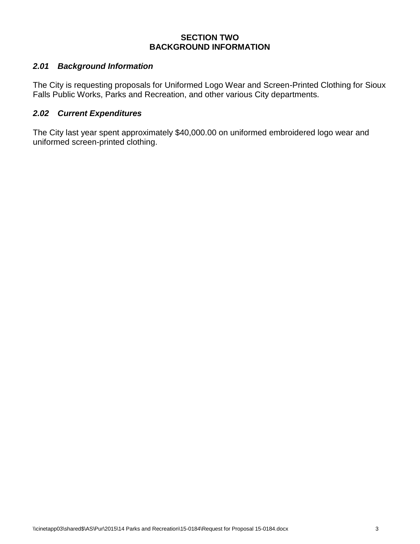#### **SECTION TWO BACKGROUND INFORMATION**

#### <span id="page-5-1"></span><span id="page-5-0"></span>*2.01 Background Information*

The City is requesting proposals for Uniformed Logo Wear and Screen-Printed Clothing for Sioux Falls Public Works, Parks and Recreation, and other various City departments.

#### <span id="page-5-2"></span>*2.02 Current Expenditures*

The City last year spent approximately \$40,000.00 on uniformed embroidered logo wear and uniformed screen-printed clothing.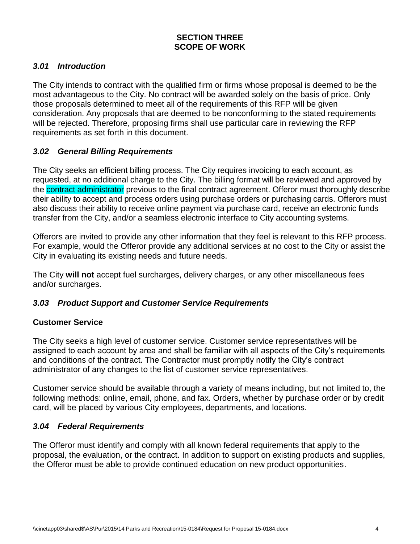## **SECTION THREE SCOPE OF WORK**

#### <span id="page-6-1"></span><span id="page-6-0"></span>*3.01 Introduction*

The City intends to contract with the qualified firm or firms whose proposal is deemed to be the most advantageous to the City. No contract will be awarded solely on the basis of price. Only those proposals determined to meet all of the requirements of this RFP will be given consideration. Any proposals that are deemed to be nonconforming to the stated requirements will be rejected. Therefore, proposing firms shall use particular care in reviewing the RFP requirements as set forth in this document.

#### <span id="page-6-2"></span>*3.02 General Billing Requirements*

The City seeks an efficient billing process. The City requires invoicing to each account, as requested, at no additional charge to the City. The billing format will be reviewed and approved by the contract administrator previous to the final contract agreement. Offeror must thoroughly describe their ability to accept and process orders using purchase orders or purchasing cards. Offerors must also discuss their ability to receive online payment via purchase card, receive an electronic funds transfer from the City, and/or a seamless electronic interface to City accounting systems.

Offerors are invited to provide any other information that they feel is relevant to this RFP process. For example, would the Offeror provide any additional services at no cost to the City or assist the City in evaluating its existing needs and future needs.

The City **will not** accept fuel surcharges, delivery charges, or any other miscellaneous fees and/or surcharges.

#### <span id="page-6-3"></span>*3.03 Product Support and Customer Service Requirements*

#### **Customer Service**

The City seeks a high level of customer service. Customer service representatives will be assigned to each account by area and shall be familiar with all aspects of the City's requirements and conditions of the contract. The Contractor must promptly notify the City's contract administrator of any changes to the list of customer service representatives.

Customer service should be available through a variety of means including, but not limited to, the following methods: online, email, phone, and fax. Orders, whether by purchase order or by credit card, will be placed by various City employees, departments, and locations.

#### <span id="page-6-4"></span>*3.04 Federal Requirements*

The Offeror must identify and comply with all known federal requirements that apply to the proposal, the evaluation, or the contract. In addition to support on existing products and supplies, the Offeror must be able to provide continued education on new product opportunities.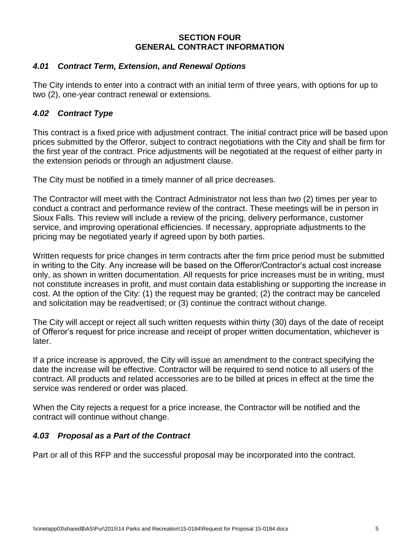#### **SECTION FOUR GENERAL CONTRACT INFORMATION**

#### <span id="page-7-1"></span><span id="page-7-0"></span>*4.01 Contract Term, Extension, and Renewal Options*

The City intends to enter into a contract with an initial term of three years, with options for up to two (2), one-year contract renewal or extensions.

## <span id="page-7-2"></span>*4.02 Contract Type*

This contract is a fixed price with adjustment contract. The initial contract price will be based upon prices submitted by the Offeror, subject to contract negotiations with the City and shall be firm for the first year of the contract. Price adjustments will be negotiated at the request of either party in the extension periods or through an adjustment clause.

The City must be notified in a timely manner of all price decreases.

The Contractor will meet with the Contract Administrator not less than two (2) times per year to conduct a contract and performance review of the contract. These meetings will be in person in Sioux Falls. This review will include a review of the pricing, delivery performance, customer service, and improving operational efficiencies. If necessary, appropriate adjustments to the pricing may be negotiated yearly if agreed upon by both parties.

Written requests for price changes in term contracts after the firm price period must be submitted in writing to the City. Any increase will be based on the Offeror/Contractor's actual cost increase only, as shown in written documentation. All requests for price increases must be in writing, must not constitute increases in profit, and must contain data establishing or supporting the increase in cost. At the option of the City: (1) the request may be granted; (2) the contract may be canceled and solicitation may be readvertised; or (3) continue the contract without change.

The City will accept or reject all such written requests within thirty (30) days of the date of receipt of Offeror's request for price increase and receipt of proper written documentation, whichever is later.

If a price increase is approved, the City will issue an amendment to the contract specifying the date the increase will be effective. Contractor will be required to send notice to all users of the contract. All products and related accessories are to be billed at prices in effect at the time the service was rendered or order was placed.

When the City rejects a request for a price increase, the Contractor will be notified and the contract will continue without change.

## <span id="page-7-3"></span>*4.03 Proposal as a Part of the Contract*

Part or all of this RFP and the successful proposal may be incorporated into the contract.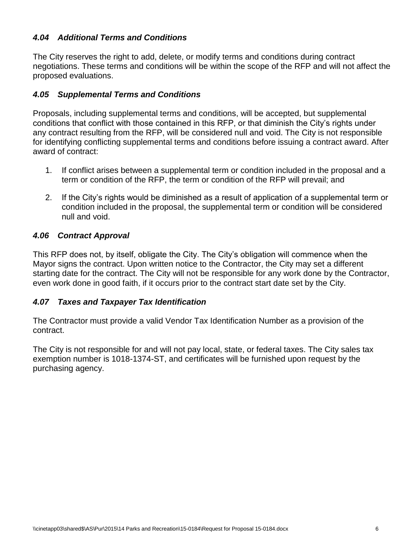## <span id="page-8-0"></span>*4.04 Additional Terms and Conditions*

The City reserves the right to add, delete, or modify terms and conditions during contract negotiations. These terms and conditions will be within the scope of the RFP and will not affect the proposed evaluations.

### <span id="page-8-1"></span>*4.05 Supplemental Terms and Conditions*

Proposals, including supplemental terms and conditions, will be accepted, but supplemental conditions that conflict with those contained in this RFP, or that diminish the City's rights under any contract resulting from the RFP, will be considered null and void. The City is not responsible for identifying conflicting supplemental terms and conditions before issuing a contract award. After award of contract:

- 1. If conflict arises between a supplemental term or condition included in the proposal and a term or condition of the RFP, the term or condition of the RFP will prevail; and
- 2. If the City's rights would be diminished as a result of application of a supplemental term or condition included in the proposal, the supplemental term or condition will be considered null and void.

### <span id="page-8-2"></span>*4.06 Contract Approval*

This RFP does not, by itself, obligate the City. The City's obligation will commence when the Mayor signs the contract. Upon written notice to the Contractor, the City may set a different starting date for the contract. The City will not be responsible for any work done by the Contractor, even work done in good faith, if it occurs prior to the contract start date set by the City.

## <span id="page-8-3"></span>*4.07 Taxes and Taxpayer Tax Identification*

The Contractor must provide a valid Vendor Tax Identification Number as a provision of the contract.

The City is not responsible for and will not pay local, state, or federal taxes. The City sales tax exemption number is 1018-1374-ST, and certificates will be furnished upon request by the purchasing agency.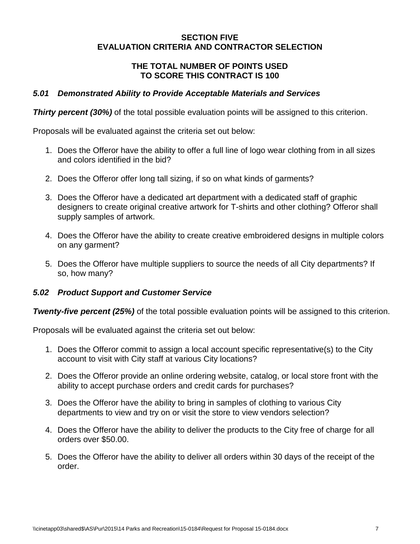#### **SECTION FIVE EVALUATION CRITERIA AND CONTRACTOR SELECTION**

#### **THE TOTAL NUMBER OF POINTS USED TO SCORE THIS CONTRACT IS 100**

#### <span id="page-9-1"></span><span id="page-9-0"></span>*5.01 Demonstrated Ability to Provide Acceptable Materials and Services*

**Thirty percent (30%)** of the total possible evaluation points will be assigned to this criterion.

Proposals will be evaluated against the criteria set out below:

- 1. Does the Offeror have the ability to offer a full line of logo wear clothing from in all sizes and colors identified in the bid?
- 2. Does the Offeror offer long tall sizing, if so on what kinds of garments?
- 3. Does the Offeror have a dedicated art department with a dedicated staff of graphic designers to create original creative artwork for T-shirts and other clothing? Offeror shall supply samples of artwork.
- 4. Does the Offeror have the ability to create creative embroidered designs in multiple colors on any garment?
- 5. Does the Offeror have multiple suppliers to source the needs of all City departments? If so, how many?

#### <span id="page-9-2"></span>*5.02 Product Support and Customer Service*

*Twenty-five percent (25%)* of the total possible evaluation points will be assigned to this criterion.

Proposals will be evaluated against the criteria set out below:

- 1. Does the Offeror commit to assign a local account specific representative(s) to the City account to visit with City staff at various City locations?
- 2. Does the Offeror provide an online ordering website, catalog, or local store front with the ability to accept purchase orders and credit cards for purchases?
- 3. Does the Offeror have the ability to bring in samples of clothing to various City departments to view and try on or visit the store to view vendors selection?
- 4. Does the Offeror have the ability to deliver the products to the City free of charge for all orders over \$50.00.
- 5. Does the Offeror have the ability to deliver all orders within 30 days of the receipt of the order.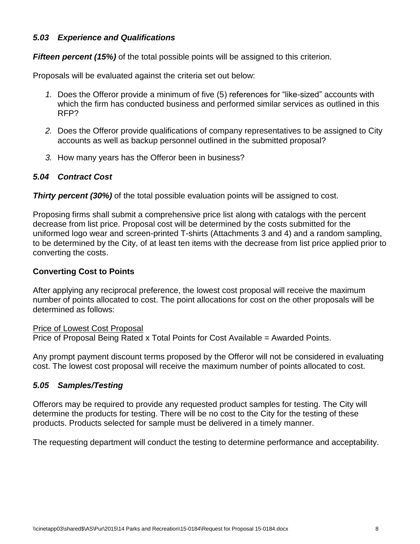#### <span id="page-10-0"></span>*5.03 Experience and Qualifications*

*Fifteen percent (15%)* of the total possible points will be assigned to this criterion.

Proposals will be evaluated against the criteria set out below:

- *1.* Does the Offeror provide a minimum of five (5) references for "like-sized" accounts with which the firm has conducted business and performed similar services as outlined in this RFP?
- *2.* Does the Offeror provide qualifications of company representatives to be assigned to City accounts as well as backup personnel outlined in the submitted proposal?
- *3.* How many years has the Offeror been in business?

### <span id="page-10-1"></span>*5.04 Contract Cost*

**Thirty percent (30%)** of the total possible evaluation points will be assigned to cost.

Proposing firms shall submit a comprehensive price list along with catalogs with the percent decrease from list price. Proposal cost will be determined by the costs submitted for the uniformed logo wear and screen-printed T-shirts (Attachments 3 and 4) and a random sampling, to be determined by the City, of at least ten items with the decrease from list price applied prior to converting the costs.

### **Converting Cost to Points**

After applying any reciprocal preference, the lowest cost proposal will receive the maximum number of points allocated to cost. The point allocations for cost on the other proposals will be determined as follows:

#### Price of Lowest Cost Proposal

Price of Proposal Being Rated x Total Points for Cost Available = Awarded Points.

Any prompt payment discount terms proposed by the Offeror will not be considered in evaluating cost. The lowest cost proposal will receive the maximum number of points allocated to cost.

#### <span id="page-10-2"></span>*5.05 Samples/Testing*

Offerors may be required to provide any requested product samples for testing. The City will determine the products for testing. There will be no cost to the City for the testing of these products. Products selected for sample must be delivered in a timely manner.

The requesting department will conduct the testing to determine performance and acceptability.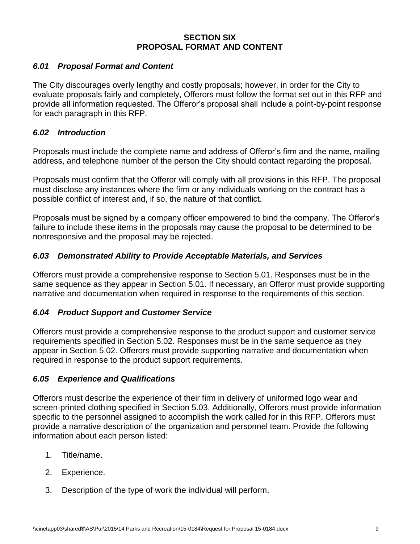#### **SECTION SIX PROPOSAL FORMAT AND CONTENT**

#### <span id="page-11-1"></span><span id="page-11-0"></span>*6.01 Proposal Format and Content*

The City discourages overly lengthy and costly proposals; however, in order for the City to evaluate proposals fairly and completely, Offerors must follow the format set out in this RFP and provide all information requested. The Offeror's proposal shall include a point-by-point response for each paragraph in this RFP.

#### <span id="page-11-2"></span>*6.02 Introduction*

Proposals must include the complete name and address of Offeror's firm and the name, mailing address, and telephone number of the person the City should contact regarding the proposal.

Proposals must confirm that the Offeror will comply with all provisions in this RFP. The proposal must disclose any instances where the firm or any individuals working on the contract has a possible conflict of interest and, if so, the nature of that conflict.

Proposals must be signed by a company officer empowered to bind the company. The Offeror's failure to include these items in the proposals may cause the proposal to be determined to be nonresponsive and the proposal may be rejected.

### <span id="page-11-3"></span>*6.03 Demonstrated Ability to Provide Acceptable Materials, and Services*

Offerors must provide a comprehensive response to Section 5.01. Responses must be in the same sequence as they appear in Section 5.01. If necessary, an Offeror must provide supporting narrative and documentation when required in response to the requirements of this section.

#### <span id="page-11-4"></span>*6.04 Product Support and Customer Service*

Offerors must provide a comprehensive response to the product support and customer service requirements specified in Section 5.02. Responses must be in the same sequence as they appear in Section 5.02. Offerors must provide supporting narrative and documentation when required in response to the product support requirements.

#### <span id="page-11-5"></span>*6.05 Experience and Qualifications*

Offerors must describe the experience of their firm in delivery of uniformed logo wear and screen-printed clothing specified in Section 5.03. Additionally, Offerors must provide information specific to the personnel assigned to accomplish the work called for in this RFP. Offerors must provide a narrative description of the organization and personnel team. Provide the following information about each person listed:

- 1. Title/name.
- 2. Experience.
- 3. Description of the type of work the individual will perform.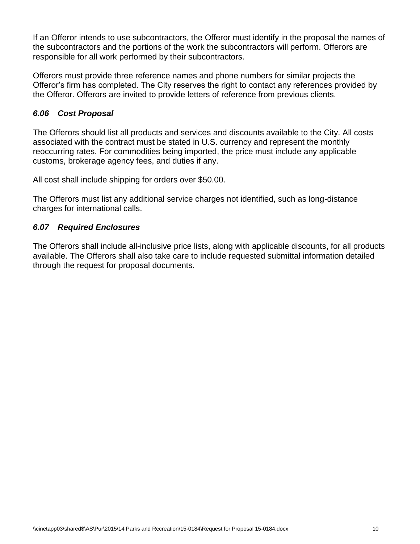If an Offeror intends to use subcontractors, the Offeror must identify in the proposal the names of the subcontractors and the portions of the work the subcontractors will perform. Offerors are responsible for all work performed by their subcontractors.

Offerors must provide three reference names and phone numbers for similar projects the Offeror's firm has completed. The City reserves the right to contact any references provided by the Offeror. Offerors are invited to provide letters of reference from previous clients.

## <span id="page-12-0"></span>*6.06 Cost Proposal*

The Offerors should list all products and services and discounts available to the City. All costs associated with the contract must be stated in U.S. currency and represent the monthly reoccurring rates. For commodities being imported, the price must include any applicable customs, brokerage agency fees, and duties if any.

All cost shall include shipping for orders over \$50.00.

The Offerors must list any additional service charges not identified, such as long-distance charges for international calls.

#### <span id="page-12-1"></span>*6.07 Required Enclosures*

The Offerors shall include all-inclusive price lists, along with applicable discounts, for all products available. The Offerors shall also take care to include requested submittal information detailed through the request for proposal documents.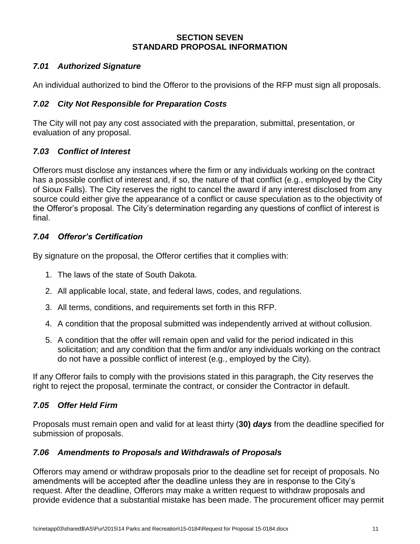#### **SECTION SEVEN STANDARD PROPOSAL INFORMATION**

## <span id="page-13-1"></span><span id="page-13-0"></span>*7.01 Authorized Signature*

An individual authorized to bind the Offeror to the provisions of the RFP must sign all proposals.

## <span id="page-13-2"></span>*7.02 City Not Responsible for Preparation Costs*

The City will not pay any cost associated with the preparation, submittal, presentation, or evaluation of any proposal.

## <span id="page-13-3"></span>*7.03 Conflict of Interest*

Offerors must disclose any instances where the firm or any individuals working on the contract has a possible conflict of interest and, if so, the nature of that conflict (e.g., employed by the City of Sioux Falls). The City reserves the right to cancel the award if any interest disclosed from any source could either give the appearance of a conflict or cause speculation as to the objectivity of the Offeror's proposal. The City's determination regarding any questions of conflict of interest is final.

## <span id="page-13-4"></span>*7.04 Offeror's Certification*

By signature on the proposal, the Offeror certifies that it complies with:

- 1. The laws of the state of South Dakota.
- 2. All applicable local, state, and federal laws, codes, and regulations.
- 3. All terms, conditions, and requirements set forth in this RFP.
- 4. A condition that the proposal submitted was independently arrived at without collusion.
- 5. A condition that the offer will remain open and valid for the period indicated in this solicitation; and any condition that the firm and/or any individuals working on the contract do not have a possible conflict of interest (e.g., employed by the City).

If any Offeror fails to comply with the provisions stated in this paragraph, the City reserves the right to reject the proposal, terminate the contract, or consider the Contractor in default.

## <span id="page-13-5"></span>*7.05 Offer Held Firm*

Proposals must remain open and valid for at least thirty (**30)** *days* from the deadline specified for submission of proposals.

## <span id="page-13-6"></span>*7.06 Amendments to Proposals and Withdrawals of Proposals*

Offerors may amend or withdraw proposals prior to the deadline set for receipt of proposals. No amendments will be accepted after the deadline unless they are in response to the City's request. After the deadline, Offerors may make a written request to withdraw proposals and provide evidence that a substantial mistake has been made. The procurement officer may permit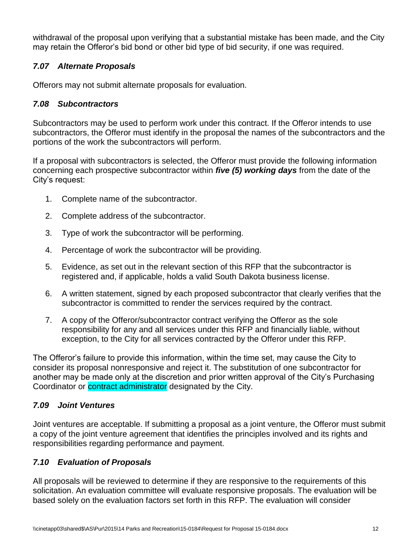withdrawal of the proposal upon verifying that a substantial mistake has been made, and the City may retain the Offeror's bid bond or other bid type of bid security, if one was required.

## <span id="page-14-0"></span>*7.07 Alternate Proposals*

Offerors may not submit alternate proposals for evaluation.

## <span id="page-14-1"></span>*7.08 Subcontractors*

Subcontractors may be used to perform work under this contract. If the Offeror intends to use subcontractors, the Offeror must identify in the proposal the names of the subcontractors and the portions of the work the subcontractors will perform.

If a proposal with subcontractors is selected, the Offeror must provide the following information concerning each prospective subcontractor within *five (5) working days* from the date of the City's request:

- 1. Complete name of the subcontractor.
- 2. Complete address of the subcontractor.
- 3. Type of work the subcontractor will be performing.
- 4. Percentage of work the subcontractor will be providing.
- 5. Evidence, as set out in the relevant section of this RFP that the subcontractor is registered and, if applicable, holds a valid South Dakota business license.
- 6. A written statement, signed by each proposed subcontractor that clearly verifies that the subcontractor is committed to render the services required by the contract.
- 7. A copy of the Offeror/subcontractor contract verifying the Offeror as the sole responsibility for any and all services under this RFP and financially liable, without exception, to the City for all services contracted by the Offeror under this RFP.

The Offeror's failure to provide this information, within the time set, may cause the City to consider its proposal nonresponsive and reject it. The substitution of one subcontractor for another may be made only at the discretion and prior written approval of the City's Purchasing Coordinator or **contract administrator** designated by the City.

## <span id="page-14-2"></span>*7.09 Joint Ventures*

Joint ventures are acceptable. If submitting a proposal as a joint venture, the Offeror must submit a copy of the joint venture agreement that identifies the principles involved and its rights and responsibilities regarding performance and payment.

## <span id="page-14-3"></span>*7.10 Evaluation of Proposals*

All proposals will be reviewed to determine if they are responsive to the requirements of this solicitation. An evaluation committee will evaluate responsive proposals. The evaluation will be based solely on the evaluation factors set forth in this RFP. The evaluation will consider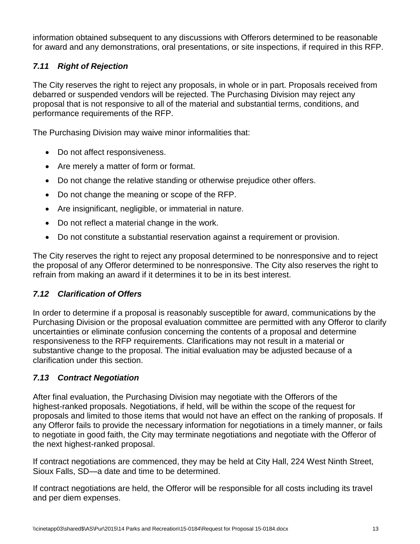information obtained subsequent to any discussions with Offerors determined to be reasonable for award and any demonstrations, oral presentations, or site inspections, if required in this RFP.

## <span id="page-15-0"></span>*7.11 Right of Rejection*

The City reserves the right to reject any proposals, in whole or in part. Proposals received from debarred or suspended vendors will be rejected. The Purchasing Division may reject any proposal that is not responsive to all of the material and substantial terms, conditions, and performance requirements of the RFP.

The Purchasing Division may waive minor informalities that:

- Do not affect responsiveness.
- Are merely a matter of form or format.
- Do not change the relative standing or otherwise prejudice other offers.
- Do not change the meaning or scope of the RFP.
- Are insignificant, negligible, or immaterial in nature.
- Do not reflect a material change in the work.
- Do not constitute a substantial reservation against a requirement or provision.

The City reserves the right to reject any proposal determined to be nonresponsive and to reject the proposal of any Offeror determined to be nonresponsive. The City also reserves the right to refrain from making an award if it determines it to be in its best interest.

## <span id="page-15-1"></span>*7.12 Clarification of Offers*

In order to determine if a proposal is reasonably susceptible for award, communications by the Purchasing Division or the proposal evaluation committee are permitted with any Offeror to clarify uncertainties or eliminate confusion concerning the contents of a proposal and determine responsiveness to the RFP requirements. Clarifications may not result in a material or substantive change to the proposal. The initial evaluation may be adjusted because of a clarification under this section.

## <span id="page-15-2"></span>*7.13 Contract Negotiation*

After final evaluation, the Purchasing Division may negotiate with the Offerors of the highest-ranked proposals. Negotiations, if held, will be within the scope of the request for proposals and limited to those items that would not have an effect on the ranking of proposals. If any Offeror fails to provide the necessary information for negotiations in a timely manner, or fails to negotiate in good faith, the City may terminate negotiations and negotiate with the Offeror of the next highest-ranked proposal.

If contract negotiations are commenced, they may be held at City Hall, 224 West Ninth Street, Sioux Falls, SD—a date and time to be determined.

If contract negotiations are held, the Offeror will be responsible for all costs including its travel and per diem expenses.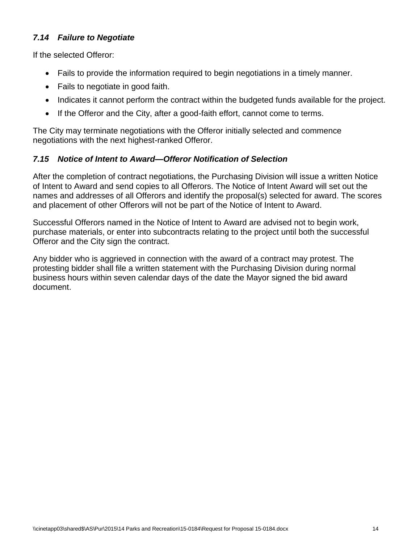## <span id="page-16-0"></span>*7.14 Failure to Negotiate*

If the selected Offeror:

- Fails to provide the information required to begin negotiations in a timely manner.
- Fails to negotiate in good faith.
- Indicates it cannot perform the contract within the budgeted funds available for the project.
- If the Offeror and the City, after a good-faith effort, cannot come to terms.

The City may terminate negotiations with the Offeror initially selected and commence negotiations with the next highest-ranked Offeror.

## <span id="page-16-1"></span>*7.15 Notice of Intent to Award—Offeror Notification of Selection*

After the completion of contract negotiations, the Purchasing Division will issue a written Notice of Intent to Award and send copies to all Offerors. The Notice of Intent Award will set out the names and addresses of all Offerors and identify the proposal(s) selected for award. The scores and placement of other Offerors will not be part of the Notice of Intent to Award.

Successful Offerors named in the Notice of Intent to Award are advised not to begin work, purchase materials, or enter into subcontracts relating to the project until both the successful Offeror and the City sign the contract.

Any bidder who is aggrieved in connection with the award of a contract may protest. The protesting bidder shall file a written statement with the Purchasing Division during normal business hours within seven calendar days of the date the Mayor signed the bid award document.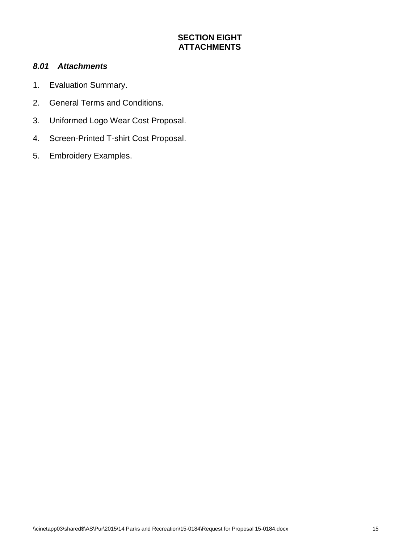## **SECTION EIGHT ATTACHMENTS**

#### <span id="page-17-1"></span><span id="page-17-0"></span>*8.01 Attachments*

- 1. Evaluation Summary.
- 2. General Terms and Conditions.
- 3. Uniformed Logo Wear Cost Proposal.
- 4. Screen-Printed T-shirt Cost Proposal.
- 5. Embroidery Examples.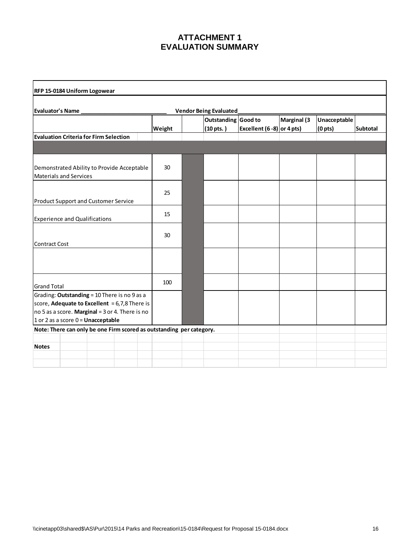### **ATTACHMENT 1 EVALUATION SUMMARY**

| RFP 15-0184 Uniform Logowear                                                                                                                                                               |        |  |                                            |                             |             |                                     |                 |
|--------------------------------------------------------------------------------------------------------------------------------------------------------------------------------------------|--------|--|--------------------------------------------|-----------------------------|-------------|-------------------------------------|-----------------|
| Evaluator's Name<br><b>Vendor Being Evaluated</b>                                                                                                                                          |        |  |                                            |                             |             |                                     |                 |
|                                                                                                                                                                                            | Weight |  | Outstanding Good to<br>$(10 \text{ pts.})$ | Excellent (6 - 8) or 4 pts) | Marginal (3 | Unacceptable<br>(0 <sub>pts</sub> ) | <b>Subtotal</b> |
| <b>Evaluation Criteria for Firm Selection</b>                                                                                                                                              |        |  |                                            |                             |             |                                     |                 |
|                                                                                                                                                                                            |        |  |                                            |                             |             |                                     |                 |
| Demonstrated Ability to Provide Acceptable<br><b>Materials and Services</b>                                                                                                                | 30     |  |                                            |                             |             |                                     |                 |
| <b>Product Support and Customer Service</b>                                                                                                                                                | 25     |  |                                            |                             |             |                                     |                 |
| <b>Experience and Qualifications</b>                                                                                                                                                       | 15     |  |                                            |                             |             |                                     |                 |
| <b>Contract Cost</b>                                                                                                                                                                       | 30     |  |                                            |                             |             |                                     |                 |
|                                                                                                                                                                                            |        |  |                                            |                             |             |                                     |                 |
| <b>Grand Total</b>                                                                                                                                                                         | 100    |  |                                            |                             |             |                                     |                 |
| Grading: Outstanding = 10 There is no 9 as a<br>score, Adequate to Excellent = $6,7,8$ There is<br>no 5 as a score. Marginal = 3 or 4. There is no<br>1 or 2 as a score $0 =$ Unacceptable |        |  |                                            |                             |             |                                     |                 |
| Note: There can only be one Firm scored as outstanding per category.                                                                                                                       |        |  |                                            |                             |             |                                     |                 |
| <b>Notes</b>                                                                                                                                                                               |        |  |                                            |                             |             |                                     |                 |
|                                                                                                                                                                                            |        |  |                                            |                             |             |                                     |                 |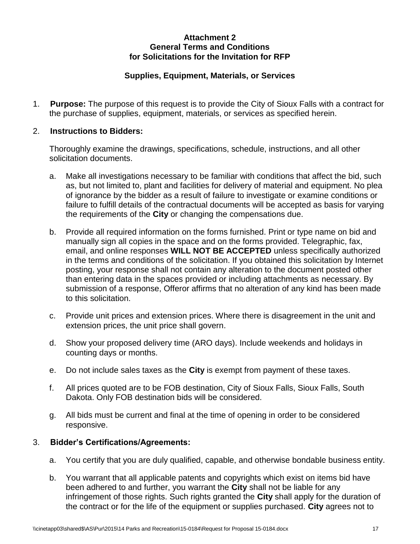#### **Attachment 2 General Terms and Conditions for Solicitations for the Invitation for RFP**

## **Supplies, Equipment, Materials, or Services**

1. **Purpose:** The purpose of this request is to provide the City of Sioux Falls with a contract for the purchase of supplies, equipment, materials, or services as specified herein.

#### 2. **Instructions to Bidders:**

Thoroughly examine the drawings, specifications, schedule, instructions, and all other solicitation documents.

- a. Make all investigations necessary to be familiar with conditions that affect the bid, such as, but not limited to, plant and facilities for delivery of material and equipment. No plea of ignorance by the bidder as a result of failure to investigate or examine conditions or failure to fulfill details of the contractual documents will be accepted as basis for varying the requirements of the **City** or changing the compensations due.
- b. Provide all required information on the forms furnished. Print or type name on bid and manually sign all copies in the space and on the forms provided. Telegraphic, fax, email, and online responses **WILL NOT BE ACCEPTED** unless specifically authorized in the terms and conditions of the solicitation. If you obtained this solicitation by Internet posting, your response shall not contain any alteration to the document posted other than entering data in the spaces provided or including attachments as necessary. By submission of a response, Offeror affirms that no alteration of any kind has been made to this solicitation.
- c. Provide unit prices and extension prices. Where there is disagreement in the unit and extension prices, the unit price shall govern.
- d. Show your proposed delivery time (ARO days). Include weekends and holidays in counting days or months.
- e. Do not include sales taxes as the **City** is exempt from payment of these taxes.
- f. All prices quoted are to be FOB destination, City of Sioux Falls, Sioux Falls, South Dakota. Only FOB destination bids will be considered.
- g. All bids must be current and final at the time of opening in order to be considered responsive.

## 3. **Bidder's Certifications/Agreements:**

- a. You certify that you are duly qualified, capable, and otherwise bondable business entity.
- b. You warrant that all applicable patents and copyrights which exist on items bid have been adhered to and further, you warrant the **City** shall not be liable for any infringement of those rights. Such rights granted the **City** shall apply for the duration of the contract or for the life of the equipment or supplies purchased. **City** agrees not to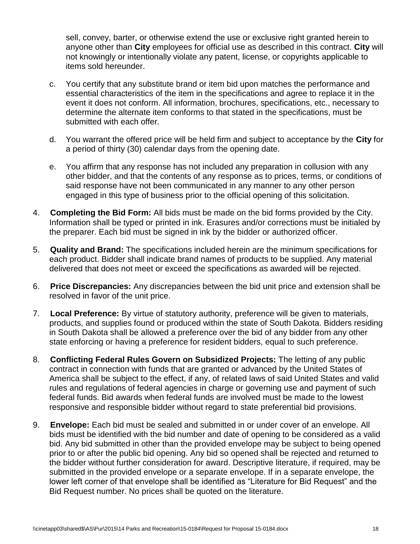sell, convey, barter, or otherwise extend the use or exclusive right granted herein to anyone other than **City** employees for official use as described in this contract. **City** will not knowingly or intentionally violate any patent, license, or copyrights applicable to items sold hereunder.

- c. You certify that any substitute brand or item bid upon matches the performance and essential characteristics of the item in the specifications and agree to replace it in the event it does not conform. All information, brochures, specifications, etc., necessary to determine the alternate item conforms to that stated in the specifications, must be submitted with each offer.
- d. You warrant the offered price will be held firm and subject to acceptance by the **City** for a period of thirty (30) calendar days from the opening date.
- e. You affirm that any response has not included any preparation in collusion with any other bidder, and that the contents of any response as to prices, terms, or conditions of said response have not been communicated in any manner to any other person engaged in this type of business prior to the official opening of this solicitation.
- 4. **Completing the Bid Form:** All bids must be made on the bid forms provided by the City. Information shall be typed or printed in ink. Erasures and/or corrections must be initialed by the preparer. Each bid must be signed in ink by the bidder or authorized officer.
- 5. **Quality and Brand:** The specifications included herein are the minimum specifications for each product. Bidder shall indicate brand names of products to be supplied. Any material delivered that does not meet or exceed the specifications as awarded will be rejected.
- 6. **Price Discrepancies:** Any discrepancies between the bid unit price and extension shall be resolved in favor of the unit price.
- 7. **Local Preference:** By virtue of statutory authority, preference will be given to materials, products, and supplies found or produced within the state of South Dakota. Bidders residing in South Dakota shall be allowed a preference over the bid of any bidder from any other state enforcing or having a preference for resident bidders, equal to such preference.
- 8. **Conflicting Federal Rules Govern on Subsidized Projects:** The letting of any public contract in connection with funds that are granted or advanced by the United States of America shall be subject to the effect, if any, of related laws of said United States and valid rules and regulations of federal agencies in charge or governing use and payment of such federal funds. Bid awards when federal funds are involved must be made to the lowest responsive and responsible bidder without regard to state preferential bid provisions.
- 9. **Envelope:** Each bid must be sealed and submitted in or under cover of an envelope. All bids must be identified with the bid number and date of opening to be considered as a valid bid. Any bid submitted in other than the provided envelope may be subject to being opened prior to or after the public bid opening. Any bid so opened shall be rejected and returned to the bidder without further consideration for award. Descriptive literature, if required, may be submitted in the provided envelope or a separate envelope. If in a separate envelope, the lower left corner of that envelope shall be identified as "Literature for Bid Request" and the Bid Request number. No prices shall be quoted on the literature.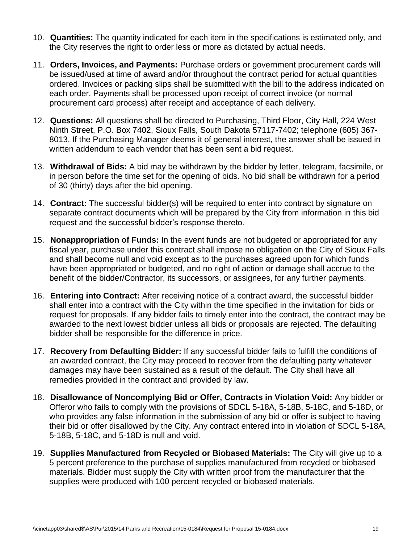- 10. **Quantities:** The quantity indicated for each item in the specifications is estimated only, and the City reserves the right to order less or more as dictated by actual needs.
- 11. **Orders, Invoices, and Payments:** Purchase orders or government procurement cards will be issued/used at time of award and/or throughout the contract period for actual quantities ordered. Invoices or packing slips shall be submitted with the bill to the address indicated on each order. Payments shall be processed upon receipt of correct invoice (or normal procurement card process) after receipt and acceptance of each delivery.
- 12. **Questions:** All questions shall be directed to Purchasing, Third Floor, City Hall, 224 West Ninth Street, P.O. Box 7402, Sioux Falls, South Dakota 57117-7402; telephone (605) 367- 8013. If the Purchasing Manager deems it of general interest, the answer shall be issued in written addendum to each vendor that has been sent a bid request.
- 13. **Withdrawal of Bids:** A bid may be withdrawn by the bidder by letter, telegram, facsimile, or in person before the time set for the opening of bids. No bid shall be withdrawn for a period of 30 (thirty) days after the bid opening.
- 14. **Contract:** The successful bidder(s) will be required to enter into contract by signature on separate contract documents which will be prepared by the City from information in this bid request and the successful bidder's response thereto.
- 15. **Nonappropriation of Funds:** In the event funds are not budgeted or appropriated for any fiscal year, purchase under this contract shall impose no obligation on the City of Sioux Falls and shall become null and void except as to the purchases agreed upon for which funds have been appropriated or budgeted, and no right of action or damage shall accrue to the benefit of the bidder/Contractor, its successors, or assignees, for any further payments.
- 16. **Entering into Contract:** After receiving notice of a contract award, the successful bidder shall enter into a contract with the City within the time specified in the invitation for bids or request for proposals. If any bidder fails to timely enter into the contract, the contract may be awarded to the next lowest bidder unless all bids or proposals are rejected. The defaulting bidder shall be responsible for the difference in price.
- 17. **Recovery from Defaulting Bidder:** If any successful bidder fails to fulfill the conditions of an awarded contract, the City may proceed to recover from the defaulting party whatever damages may have been sustained as a result of the default. The City shall have all remedies provided in the contract and provided by law.
- 18. **Disallowance of Noncomplying Bid or Offer, Contracts in Violation Void:** Any bidder or Offeror who fails to comply with the provisions of SDCL 5-18A, 5-18B, 5-18C, and 5-18D, or who provides any false information in the submission of any bid or offer is subject to having their bid or offer disallowed by the City. Any contract entered into in violation of SDCL 5-18A, 5-18B, 5-18C, and 5-18D is null and void.
- 19. **Supplies Manufactured from Recycled or Biobased Materials:** The City will give up to a 5 percent preference to the purchase of supplies manufactured from recycled or biobased materials. Bidder must supply the City with written proof from the manufacturer that the supplies were produced with 100 percent recycled or biobased materials.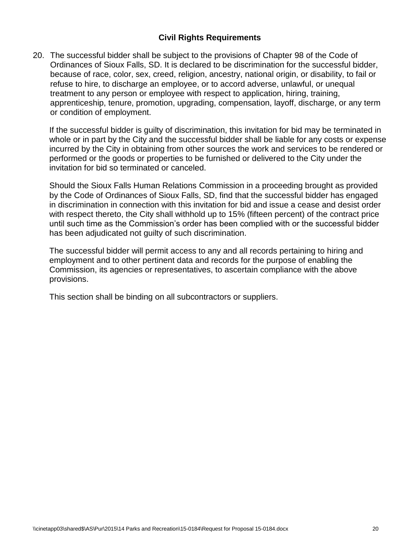#### **Civil Rights Requirements**

20. The successful bidder shall be subject to the provisions of Chapter 98 of the Code of Ordinances of Sioux Falls, SD. It is declared to be discrimination for the successful bidder, because of race, color, sex, creed, religion, ancestry, national origin, or disability, to fail or refuse to hire, to discharge an employee, or to accord adverse, unlawful, or unequal treatment to any person or employee with respect to application, hiring, training, apprenticeship, tenure, promotion, upgrading, compensation, layoff, discharge, or any term or condition of employment.

If the successful bidder is guilty of discrimination, this invitation for bid may be terminated in whole or in part by the City and the successful bidder shall be liable for any costs or expense incurred by the City in obtaining from other sources the work and services to be rendered or performed or the goods or properties to be furnished or delivered to the City under the invitation for bid so terminated or canceled.

Should the Sioux Falls Human Relations Commission in a proceeding brought as provided by the Code of Ordinances of Sioux Falls, SD, find that the successful bidder has engaged in discrimination in connection with this invitation for bid and issue a cease and desist order with respect thereto, the City shall withhold up to 15% (fifteen percent) of the contract price until such time as the Commission's order has been complied with or the successful bidder has been adjudicated not guilty of such discrimination.

The successful bidder will permit access to any and all records pertaining to hiring and employment and to other pertinent data and records for the purpose of enabling the Commission, its agencies or representatives, to ascertain compliance with the above provisions.

This section shall be binding on all subcontractors or suppliers.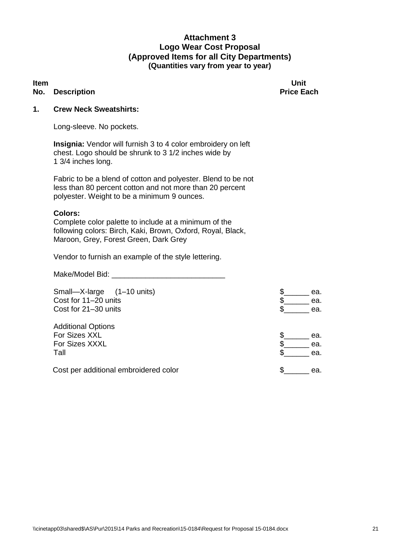#### **Attachment 3 Logo Wear Cost Proposal (Approved Items for all City Departments) (Quantities vary from year to year)**

#### **No.** Description **Price Each Price Each**

**Item and the contract of the contract of the contract of the contract of the contract of the contract of the contract of the contract of the contract of the contract of the contract of the contract of the contract of the** 

#### **1. Crew Neck Sweatshirts:**

Long-sleeve. No pockets.

**Insignia:** Vendor will furnish 3 to 4 color embroidery on left chest. Logo should be shrunk to 3 1/2 inches wide by 1 3/4 inches long.

Fabric to be a blend of cotton and polyester. Blend to be not less than 80 percent cotton and not more than 20 percent polyester. Weight to be a minimum 9 ounces.

#### **Colors:**

Complete color palette to include at a minimum of the following colors: Birch, Kaki, Brown, Oxford, Royal, Black, Maroon, Grey, Forest Green, Dark Grey

Vendor to furnish an example of the style lettering.

Make/Model Bid: \_\_\_\_\_\_\_\_\_\_\_\_\_\_\_\_\_\_\_\_\_\_\_\_\_\_\_

Small—X-large (1–10 units)  $\qquad \qquad$   $\qquad \qquad$   $\qquad \qquad$  ea. Cost for 11–20 units each control of the second second second second second second second second second second second second second second second second second second second second second second second second second second Cost for 21–30 units **but controlled to the cost of the cost of the cost of the cost of the cost of the cost of the cost of the cost of the cost of the cost of the cost of the cost of the cost of the cost of the cost of th** Additional Options For Sizes XXL \$\_\_\_\_\_\_ ea. For Sizes XXXL Tall  $\sim$  ea. Cost per additional embroidered color exactle and the second second second second second second second second second second second second second second second second second second second second second second second second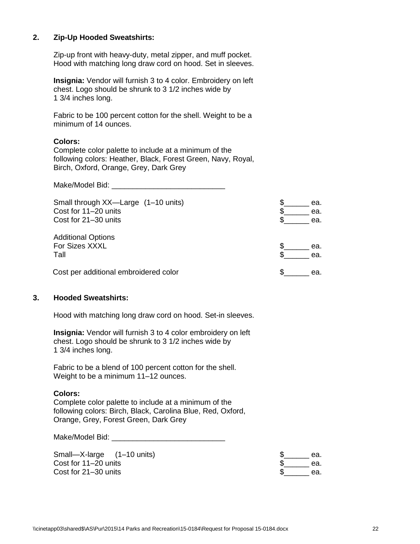#### **2. Zip-Up Hooded Sweatshirts:**

Zip-up front with heavy-duty, metal zipper, and muff pocket. Hood with matching long draw cord on hood. Set in sleeves.

**Insignia:** Vendor will furnish 3 to 4 color. Embroidery on left chest. Logo should be shrunk to 3 1/2 inches wide by 1 3/4 inches long.

Fabric to be 100 percent cotton for the shell. Weight to be a minimum of 14 ounces.

#### **Colors:**

Complete color palette to include at a minimum of the following colors: Heather, Black, Forest Green, Navy, Royal, Birch, Oxford, Orange, Grey, Dark Grey

Make/Model Bid:  $\blacksquare$ 

| Small through XX—Large (1-10 units)<br>Cost for 11-20 units<br>Cost for 21-30 units | ea.<br>ea.<br>ea. |
|-------------------------------------------------------------------------------------|-------------------|
| <b>Additional Options</b><br>For Sizes XXXL<br>Tall                                 | ea.<br>ea.        |
| Cost per additional embroidered color                                               | ea.               |

#### **3. Hooded Sweatshirts:**

Hood with matching long draw cord on hood. Set-in sleeves.

**Insignia:** Vendor will furnish 3 to 4 color embroidery on left chest. Logo should be shrunk to 3 1/2 inches wide by 1 3/4 inches long.

Fabric to be a blend of 100 percent cotton for the shell. Weight to be a minimum 11–12 ounces.

#### **Colors:**

Complete color palette to include at a minimum of the following colors: Birch, Black, Carolina Blue, Red, Oxford, Orange, Grey, Forest Green, Dark Grey

Make/Model Bid: \_\_\_\_\_\_\_\_\_\_\_\_\_\_\_\_\_\_\_\_\_\_\_\_\_\_\_

| Small-X-large (1-10 units) | ea. |
|----------------------------|-----|
| Cost for 11–20 units       | ea. |
| Cost for 21-30 units       | ea. |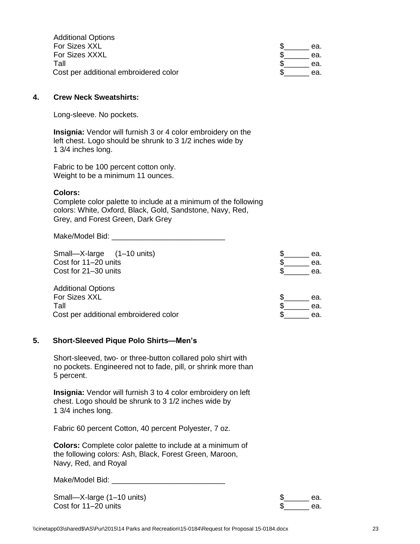| <b>Additional Options</b>             |     |
|---------------------------------------|-----|
| For Sizes XXL                         | ea. |
| For Sizes XXXL                        | ea. |
| Tall                                  | ea. |
| Cost per additional embroidered color | ea. |

#### **4. Crew Neck Sweatshirts:**

Long-sleeve. No pockets.

**Insignia:** Vendor will furnish 3 or 4 color embroidery on the left chest. Logo should be shrunk to 3 1/2 inches wide by 1 3/4 inches long.

Fabric to be 100 percent cotton only. Weight to be a minimum 11 ounces.

#### **Colors:**

Complete color palette to include at a minimum of the following colors: White, Oxford, Black, Gold, Sandstone, Navy, Red, Grey, and Forest Green, Dark Grey

Make/Model Bid: \_\_\_\_\_\_\_\_\_\_\_\_\_\_\_\_\_\_\_\_\_\_\_\_\_\_\_

Small—X-large (1–10 units)  $\qquad \qquad$  \$\_\_\_\_\_\_ ea. Cost for 11–20 units  $\qquad \qquad \text{a.}$  $\frac{1}{2}$  Cost for 21–30 units  $\frac{1}{2}$  ea. Additional Options For Sizes XXL  $\qquad \qquad \bullet$  ea. Tall  $\qquad \qquad \bullet$  ea. Cost per additional embroidered color example as  $\frac{1}{2}$  ea.

#### **5. Short-Sleeved Pique Polo Shirts—Men's**

Short-sleeved, two- or three-button collared polo shirt with no pockets. Engineered not to fade, pill, or shrink more than 5 percent.

**Insignia:** Vendor will furnish 3 to 4 color embroidery on left chest. Logo should be shrunk to 3 1/2 inches wide by 1 3/4 inches long.

Fabric 60 percent Cotton, 40 percent Polyester, 7 oz.

**Colors:** Complete color palette to include at a minimum of the following colors: Ash, Black, Forest Green, Maroon, Navy, Red, and Royal

Make/Model Bid: \_\_\_\_\_\_\_\_\_\_\_\_\_\_\_\_\_\_\_\_\_\_\_\_\_\_\_

Small—X-large (1–10 units)  $\qquad \qquad$   $\qquad \qquad$   $\qquad \qquad$   $\qquad \qquad$  ea. Cost for 11–20 units **the cost for 11–20** units **a**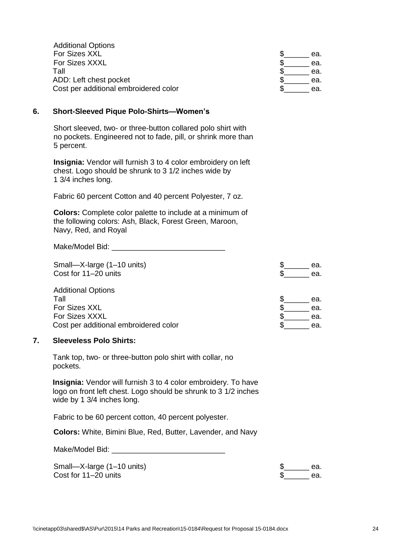| <b>Additional Options</b>             |     |
|---------------------------------------|-----|
| For Sizes XXL                         | ea. |
| For Sizes XXXL                        | ea. |
| Tall                                  | ea. |
| ADD: Left chest pocket                | ea. |
| Cost per additional embroidered color | ea. |

#### **6. Short-Sleeved Pique Polo-Shirts—Women's**

Short sleeved, two- or three-button collared polo shirt with no pockets. Engineered not to fade, pill, or shrink more than 5 percent.

**Insignia:** Vendor will furnish 3 to 4 color embroidery on left chest. Logo should be shrunk to 3 1/2 inches wide by 1 3/4 inches long.

Fabric 60 percent Cotton and 40 percent Polyester, 7 oz.

**Colors:** Complete color palette to include at a minimum of the following colors: Ash, Black, Forest Green, Maroon, Navy, Red, and Royal

Make/Model Bid:  $\blacksquare$ 

Small—X-large (1–10 units)  $\qquad \qquad$  sea.  $\frac{1}{20}$  Cost for 11–20 units  $\frac{1}{20}$  ea.

| <b>Additional Options</b>             |     |     |
|---------------------------------------|-----|-----|
| Tall                                  |     | ea. |
| For Sizes XXL                         |     | ea. |
| For Sizes XXXL                        |     | ea. |
| Cost per additional embroidered color | ea. |     |

#### **7. Sleeveless Polo Shirts:**

Tank top, two- or three-button polo shirt with collar, no pockets.

**Insignia:** Vendor will furnish 3 to 4 color embroidery. To have logo on front left chest. Logo should be shrunk to 3 1/2 inches wide by 1 3/4 inches long.

Fabric to be 60 percent cotton, 40 percent polyester.

**Colors:** White, Bimini Blue, Red, Butter, Lavender, and Navy

| Make/Model Bid: |  |
|-----------------|--|
|                 |  |

Small—X-large (1–10 units) Cost for  $11-20$  units

| $\mathcal{F}$ | ea. |
|---------------|-----|
| $\ast$        | ea. |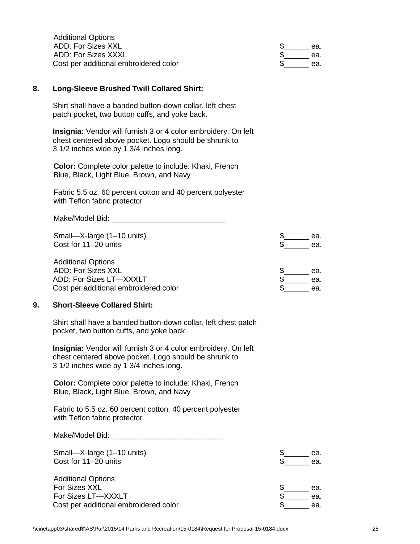| <b>Additional Options</b>             |     |
|---------------------------------------|-----|
| ADD: For Sizes XXL                    | ea. |
| ADD: For Sizes XXXL                   | ea. |
| Cost per additional embroidered color | ea. |

#### **8. Long-Sleeve Brushed Twill Collared Shirt:**

Shirt shall have a banded button-down collar, left chest patch pocket, two button cuffs, and yoke back.

**Insignia:** Vendor will furnish 3 or 4 color embroidery. On left chest centered above pocket. Logo should be shrunk to 3 1/2 inches wide by 1 3/4 inches long.

**Color:** Complete color palette to include: Khaki, French Blue, Black, Light Blue, Brown, and Navy

Fabric 5.5 oz. 60 percent cotton and 40 percent polyester with Teflon fabric protector

Make/Model Bid: \_\_\_\_\_\_\_\_\_\_\_\_\_\_\_\_\_\_\_\_\_\_\_\_\_\_\_ Small—X-large (1–10 units)  $\qquad \qquad$   $\qquad \qquad$   $\qquad \qquad$   $\qquad \qquad$  ea.  $\cosh$  for 11–20 units  $\sinh$  ea. Additional Options ADD: For Sizes XXL  $\text{S}_{\text{max}}$  ea. ADD: For Sizes LT—XXXLT  $\qquad \qquad \bullet$  ea. Cost per additional embroidered color exactle that the second second second second second second second second second second second second second second second second second second second second second second second second

#### **9. Short-Sleeve Collared Shirt:**

Shirt shall have a banded button-down collar, left chest patch pocket, two button cuffs, and yoke back.

**Insignia:** Vendor will furnish 3 or 4 color embroidery. On left chest centered above pocket. Logo should be shrunk to 3 1/2 inches wide by 1 3/4 inches long.

**Color:** Complete color palette to include: Khaki, French Blue, Black, Light Blue, Brown, and Navy

Fabric to 5.5 oz. 60 percent cotton, 40 percent polyester with Teflon fabric protector

Make/Model Bid:  $\blacksquare$ 

| Small-X-large (1-10 units)<br>Cost for 11-20 units | ea.<br>ea. |
|----------------------------------------------------|------------|
| <b>Additional Options</b>                          |            |
| For Sizes XXL                                      | ea.        |
| For Sizes LT-XXXLT                                 | ea.        |
| Cost per additional embroidered color              | ea.        |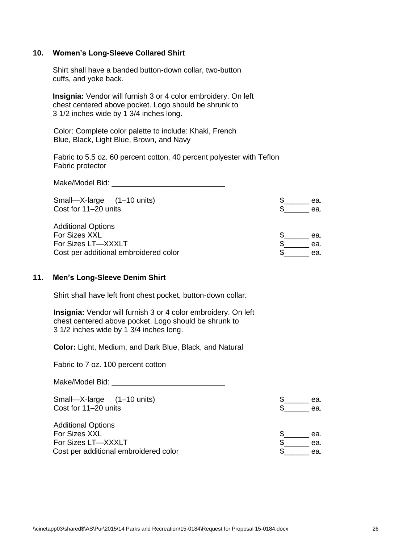#### **10. Women's Long-Sleeve Collared Shirt**

Shirt shall have a banded button-down collar, two-button cuffs, and yoke back.

**Insignia:** Vendor will furnish 3 or 4 color embroidery. On left chest centered above pocket. Logo should be shrunk to 3 1/2 inches wide by 1 3/4 inches long.

Color: Complete color palette to include: Khaki, French Blue, Black, Light Blue, Brown, and Navy

Fabric to 5.5 oz. 60 percent cotton, 40 percent polyester with Teflon Fabric protector

Make/Model Bid: \_\_\_\_\_\_\_\_\_\_\_\_\_\_\_\_\_\_\_\_\_\_\_\_\_\_\_

| Small-X-large (1-10 units)            | ea. |
|---------------------------------------|-----|
| Cost for 11-20 units                  | ea. |
| <b>Additional Options</b>             |     |
| For Sizes XXL                         | ea. |
| For Sizes LT-XXXLT                    | ea. |
| Cost per additional embroidered color | ea. |

#### **11. Men's Long-Sleeve Denim Shirt**

Shirt shall have left front chest pocket, button-down collar.

**Insignia:** Vendor will furnish 3 or 4 color embroidery. On left chest centered above pocket. Logo should be shrunk to 3 1/2 inches wide by 1 3/4 inches long.

**Color:** Light, Medium, and Dark Blue, Black, and Natural

Fabric to 7 oz. 100 percent cotton

Make/Model Bid: \_\_\_\_\_\_\_\_\_\_\_\_\_\_\_\_\_\_\_\_\_\_\_\_\_\_\_

Small—X-large (1–10 units)  $\qquad \qquad$  S Cost for  $11–20$  units

Additional Options For Sizes XXL For Sizes LT-XXXLT Cost per additional embroidered color

| Φ  | ea. |
|----|-----|
| Ś  | ea. |
|    |     |
|    |     |
| \$ | ea. |
|    |     |

| u. | ea |
|----|----|
| Œ. | eа |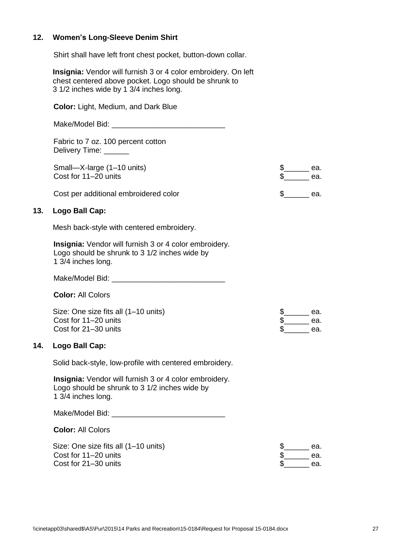#### **12. Women's Long-Sleeve Denim Shirt**

Shirt shall have left front chest pocket, button-down collar.

**Insignia:** Vendor will furnish 3 or 4 color embroidery. On left chest centered above pocket. Logo should be shrunk to 3 1/2 inches wide by 1 3/4 inches long.

**Color:** Light, Medium, and Dark Blue

Make/Model Bid: \_\_\_\_\_\_\_\_\_\_\_\_\_\_\_\_\_\_\_\_\_\_\_\_\_\_\_

Fabric to 7 oz. 100 percent cotton Delivery Time: \_\_\_\_\_\_

Small-X-large (1-10 units) Cost for  $11-20$  units

| P. | ea. |
|----|-----|
| S  | ea. |
|    |     |
|    |     |

Cost per additional embroidered color exactle that the second second second second second second second second second second second second second second second second second second second second second second second second

#### **13. Logo Ball Cap:**

Mesh back-style with centered embroidery.

**Insignia:** Vendor will furnish 3 or 4 color embroidery. Logo should be shrunk to 3 1/2 inches wide by 1 3/4 inches long.

Make/Model Bid: \_\_\_\_\_\_\_\_\_\_\_\_\_\_\_\_\_\_\_\_\_\_\_\_\_\_\_

**Color:** All Colors

Size: One size fits all (1-10 units) Cost for  $11-20$  units Cost for  $21-30$  units

| Ъ  | ea. |
|----|-----|
| Ъ  | ea. |
| Ψ. | ea. |

#### **14. Logo Ball Cap:**

Solid back-style, low-profile with centered embroidery.

**Insignia:** Vendor will furnish 3 or 4 color embroidery. Logo should be shrunk to 3 1/2 inches wide by 1 3/4 inches long.

Make/Model Bid:  $\blacksquare$ 

**Color:** All Colors

| Size: One size fits all (1–10 units) | ea. |
|--------------------------------------|-----|
| Cost for 11-20 units                 | ea. |
| Cost for 21-30 units                 | ea. |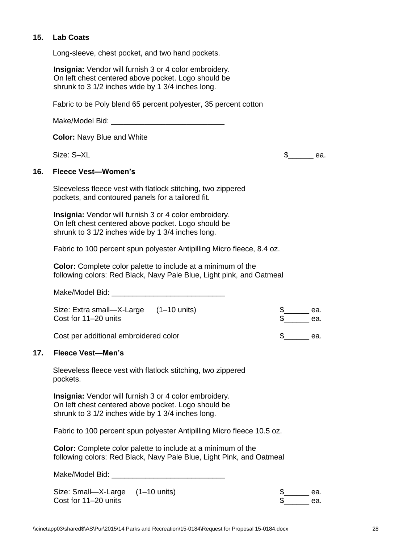#### **15. Lab Coats**

Long-sleeve, chest pocket, and two hand pockets.

**Insignia:** Vendor will furnish 3 or 4 color embroidery. On left chest centered above pocket. Logo should be shrunk to 3 1/2 inches wide by 1 3/4 inches long.

Fabric to be Poly blend 65 percent polyester, 35 percent cotton

Make/Model Bid: \_\_\_\_\_\_\_\_\_\_\_\_\_\_\_\_\_\_\_\_\_\_\_\_\_\_\_

**Color:** Navy Blue and White

Size:  $S-XL$  ea.

#### **16. Fleece Vest—Women's**

Sleeveless fleece vest with flatlock stitching, two zippered pockets, and contoured panels for a tailored fit.

**Insignia:** Vendor will furnish 3 or 4 color embroidery. On left chest centered above pocket. Logo should be shrunk to 3 1/2 inches wide by 1 3/4 inches long.

Fabric to 100 percent spun polyester Antipilling Micro fleece, 8.4 oz.

**Color:** Complete color palette to include at a minimum of the following colors: Red Black, Navy Pale Blue, Light pink, and Oatmeal

Make/Model Bid: \_\_\_\_\_\_\_\_\_\_\_\_\_\_\_\_\_\_\_\_\_\_\_\_\_\_\_

| Size: Extra small—X-Large (1–10 units)<br>Cost for 11–20 units |  | ea.<br>ea. |
|----------------------------------------------------------------|--|------------|
| Cost per additional embroidered color                          |  | ea.        |

#### **17. Fleece Vest—Men's**

Sleeveless fleece vest with flatlock stitching, two zippered pockets.

**Insignia:** Vendor will furnish 3 or 4 color embroidery. On left chest centered above pocket. Logo should be shrunk to 3 1/2 inches wide by 1 3/4 inches long.

Fabric to 100 percent spun polyester Antipilling Micro fleece 10.5 oz.

**Color:** Complete color palette to include at a minimum of the following colors: Red Black, Navy Pale Blue, Light Pink, and Oatmeal

Make/Model Bid:

Size: Small—X-Large (1–10 units)  $\text{S}$  ea. Cost for 11–20 units **the cost for 11–20** units **a** ca.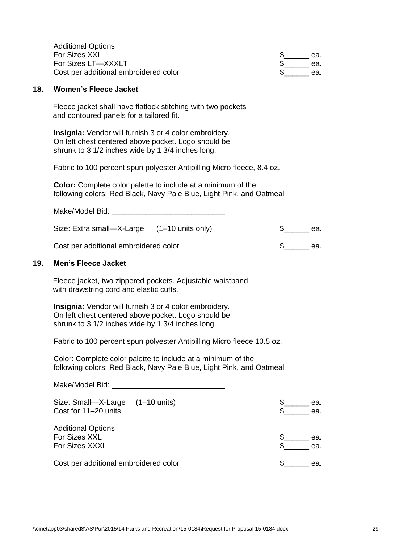| <b>Additional Options</b>             |     |
|---------------------------------------|-----|
| For Sizes XXL                         | ea. |
| For Sizes LT-XXXLT                    | ea. |
| Cost per additional embroidered color | ea. |

#### **18. Women's Fleece Jacket**

Fleece jacket shall have flatlock stitching with two pockets and contoured panels for a tailored fit.

**Insignia:** Vendor will furnish 3 or 4 color embroidery. On left chest centered above pocket. Logo should be shrunk to 3 1/2 inches wide by 1 3/4 inches long.

Fabric to 100 percent spun polyester Antipilling Micro fleece, 8.4 oz.

**Color:** Complete color palette to include at a minimum of the following colors: Red Black, Navy Pale Blue, Light Pink, and Oatmeal

| Make/Model Bid:                             |  |     |
|---------------------------------------------|--|-----|
| Size: Extra small—X-Large (1–10 units only) |  | ea. |
| Cost per additional embroidered color       |  | ea. |

#### **19. Men's Fleece Jacket**

Fleece jacket, two zippered pockets. Adjustable waistband with drawstring cord and elastic cuffs.

**Insignia:** Vendor will furnish 3 or 4 color embroidery. On left chest centered above pocket. Logo should be shrunk to 3 1/2 inches wide by 1 3/4 inches long.

Fabric to 100 percent spun polyester Antipilling Micro fleece 10.5 oz.

Color: Complete color palette to include at a minimum of the following colors: Red Black, Navy Pale Blue, Light Pink, and Oatmeal

Make/Model Bid: \_ Size: Small—X-Large  $(1-10 \text{ units})$   $\frac{1}{2}$  ea.<br>Cost for 11–20 units ea. Cost for  $11-20$  units Additional Options For Sizes XXL \$\_\_\_\_\_\_ ea. For Sizes XXXL Cost per additional embroidered color  $\qquad \qquad \$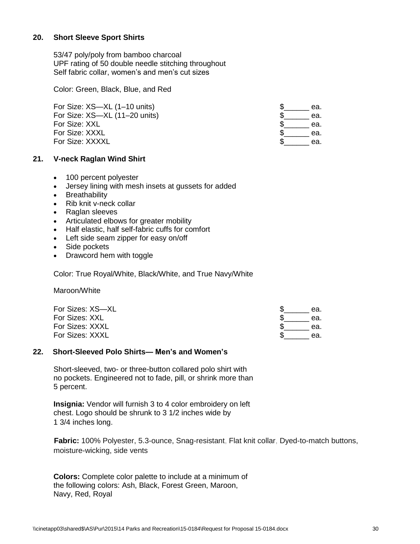#### **20. Short Sleeve Sport Shirts**

53/47 poly/poly from bamboo charcoal UPF rating of 50 double needle stitching throughout Self fabric collar, women's and men's cut sizes

Color: Green, Black, Blue, and Red

| For Size: XS-XL (1-10 units)  | ea. |
|-------------------------------|-----|
| For Size: XS-XL (11-20 units) | ea. |
| For Size: XXL                 | ea. |
| For Size: XXXL                | ea. |
| For Size: XXXXL               | ea. |

#### **21. V-neck Raglan Wind Shirt**

- 100 percent polyester
- Jersey lining with mesh insets at gussets for added
- Breathability
- Rib knit v-neck collar
- Raglan sleeves
- Articulated elbows for greater mobility
- Half elastic, half self-fabric cuffs for comfort
- Left side seam zipper for easy on/off
- Side pockets
- Drawcord hem with toggle

Color: True Royal/White, Black/White, and True Navy/White

Maroon/White

| For Sizes: XS-XL | ea. |
|------------------|-----|
| For Sizes: XXL   | ea. |
| For Sizes: XXXL  | ea. |
| For Sizes: XXXL  | ea. |

#### **22. Short-Sleeved Polo Shirts— Men's and Women's**

Short-sleeved, two- or three-button collared polo shirt with no pockets. Engineered not to fade, pill, or shrink more than 5 percent.

**Insignia:** Vendor will furnish 3 to 4 color embroidery on left chest. Logo should be shrunk to 3 1/2 inches wide by 1 3/4 inches long.

**Fabric:** 100% Polyester, 5.3-ounce, Snag-resistant, Flat knit collar, Dyed-to-match buttons, moisture-wicking, side vents

**Colors:** Complete color palette to include at a minimum of the following colors: Ash, Black, Forest Green, Maroon, Navy, Red, Royal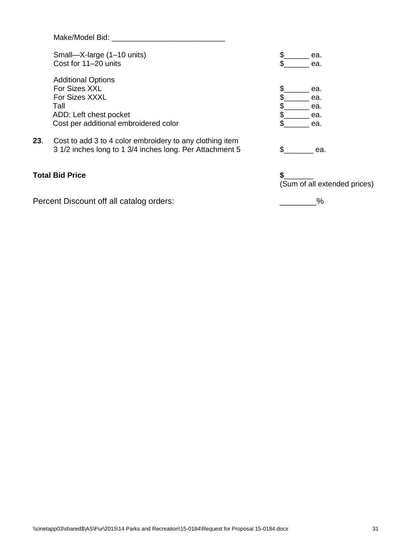|     | Make/Model Bid:                                          |                              |
|-----|----------------------------------------------------------|------------------------------|
|     | Small-X-large (1-10 units)                               | \$<br>ea.                    |
|     | Cost for 11-20 units                                     | \$<br>ea.                    |
|     | <b>Additional Options</b>                                |                              |
|     | For Sizes XXL                                            | ea.                          |
|     | For Sizes XXXL                                           | \$<br>ea.                    |
|     | Tall                                                     | ea.                          |
|     | ADD: Left chest pocket                                   | ea.                          |
|     | Cost per additional embroidered color                    | ea.                          |
| 23. | Cost to add 3 to 4 color embroidery to any clothing item |                              |
|     | 3 1/2 inches long to 1 3/4 inches long. Per Attachment 5 | \$.<br>ea.                   |
|     | <b>Total Bid Price</b>                                   | \$                           |
|     |                                                          | (Sum of all extended prices) |

Percent Discount off all catalog orders: \_\_\_\_\_\_\_\_\_\_\_\_\_\_\_\_\_\_%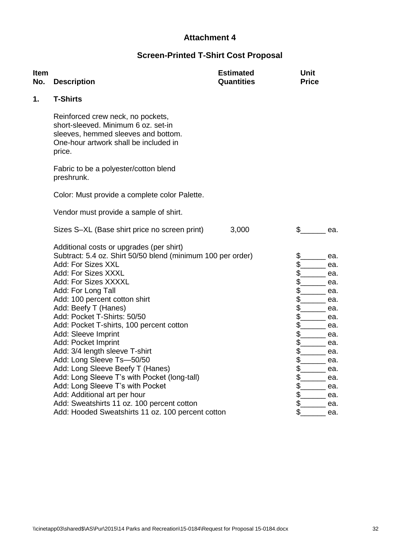## **Screen-Printed T-Shirt Cost Proposal**

| <b>Item</b><br>No. | <b>Description</b>                                                                                                                                                 | <b>Estimated</b><br><b>Quantities</b> | <b>Unit</b><br><b>Price</b> |  |  |  |  |  |
|--------------------|--------------------------------------------------------------------------------------------------------------------------------------------------------------------|---------------------------------------|-----------------------------|--|--|--|--|--|
| 1.                 | <b>T-Shirts</b>                                                                                                                                                    |                                       |                             |  |  |  |  |  |
|                    | Reinforced crew neck, no pockets,<br>short-sleeved. Minimum 6 oz. set-in<br>sleeves, hemmed sleeves and bottom.<br>One-hour artwork shall be included in<br>price. |                                       |                             |  |  |  |  |  |
|                    | Fabric to be a polyester/cotton blend<br>preshrunk.                                                                                                                |                                       |                             |  |  |  |  |  |
|                    | Color: Must provide a complete color Palette.                                                                                                                      |                                       |                             |  |  |  |  |  |
|                    | Vendor must provide a sample of shirt.                                                                                                                             |                                       |                             |  |  |  |  |  |
|                    | Sizes S-XL (Base shirt price no screen print)                                                                                                                      | 3,000                                 | $\mathbb{S}$<br>ea.         |  |  |  |  |  |
|                    | Additional costs or upgrades (per shirt)                                                                                                                           |                                       |                             |  |  |  |  |  |
|                    | Subtract: 5.4 oz. Shirt 50/50 blend (minimum 100 per order)                                                                                                        |                                       | \$.<br>ea.                  |  |  |  |  |  |
|                    | Add: For Sizes XXL                                                                                                                                                 |                                       | \$<br>ea.                   |  |  |  |  |  |
|                    | Add: For Sizes XXXL                                                                                                                                                |                                       | \$<br>ea.                   |  |  |  |  |  |
|                    | Add: For Sizes XXXXL                                                                                                                                               |                                       | \$<br>ea.                   |  |  |  |  |  |
|                    | Add: For Long Tall                                                                                                                                                 |                                       | \$<br>ea.                   |  |  |  |  |  |
|                    | Add: 100 percent cotton shirt                                                                                                                                      |                                       | \$<br>ea.                   |  |  |  |  |  |
|                    | Add: Beefy T (Hanes)                                                                                                                                               |                                       | \$<br>ea.                   |  |  |  |  |  |
|                    | Add: Pocket T-Shirts: 50/50                                                                                                                                        |                                       | \$<br>ea.                   |  |  |  |  |  |
|                    | Add: Pocket T-shirts, 100 percent cotton                                                                                                                           |                                       | \$<br>ea.                   |  |  |  |  |  |
|                    | Add: Sleeve Imprint                                                                                                                                                |                                       | \$<br>ea.                   |  |  |  |  |  |
|                    | Add: Pocket Imprint                                                                                                                                                |                                       | \$<br>ea.                   |  |  |  |  |  |
|                    | Add: 3/4 length sleeve T-shirt                                                                                                                                     |                                       | \$.<br>ea.                  |  |  |  |  |  |
|                    | Add: Long Sleeve Ts-50/50                                                                                                                                          |                                       | \$<br>ea.                   |  |  |  |  |  |
|                    | Add: Long Sleeve Beefy T (Hanes)                                                                                                                                   |                                       | \$<br>ea.                   |  |  |  |  |  |
|                    | Add: Long Sleeve T's with Pocket (long-tall)                                                                                                                       | \$<br>ea.                             |                             |  |  |  |  |  |
|                    | Add: Long Sleeve T's with Pocket                                                                                                                                   |                                       | $\frac{2}{2}$<br>ea.        |  |  |  |  |  |
|                    | Add: Additional art per hour                                                                                                                                       |                                       | \$<br>ea.                   |  |  |  |  |  |
|                    | Add: Sweatshirts 11 oz. 100 percent cotton                                                                                                                         |                                       | \$<br>ea.                   |  |  |  |  |  |
|                    | Add: Hooded Sweatshirts 11 oz. 100 percent cotton                                                                                                                  |                                       | \$<br>ea.                   |  |  |  |  |  |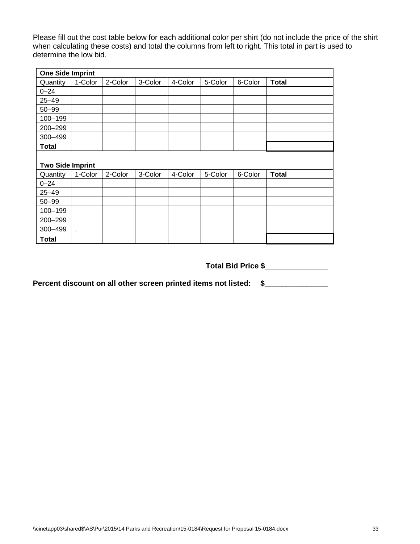Please fill out the cost table below for each additional color per shirt (do not include the price of the shirt when calculating these costs) and total the columns from left to right. This total in part is used to determine the low bid.

| <b>One Side Imprint</b> |         |         |         |         |         |         |              |  |  |  |
|-------------------------|---------|---------|---------|---------|---------|---------|--------------|--|--|--|
| Quantity                | 1-Color | 2-Color | 3-Color | 4-Color | 5-Color | 6-Color | <b>Total</b> |  |  |  |
| $0 - 24$                |         |         |         |         |         |         |              |  |  |  |
| $25 - 49$               |         |         |         |         |         |         |              |  |  |  |
| $50 - 99$               |         |         |         |         |         |         |              |  |  |  |
| 100-199                 |         |         |         |         |         |         |              |  |  |  |
| 200-299                 |         |         |         |         |         |         |              |  |  |  |
| 300-499                 |         |         |         |         |         |         |              |  |  |  |
| Total                   |         |         |         |         |         |         |              |  |  |  |
| <b>Two Side Imprint</b> |         |         |         |         |         |         |              |  |  |  |
| Quantity                | 1-Color | 2-Color | 3-Color | 4-Color | 5-Color | 6-Color | <b>Total</b> |  |  |  |
| $0 - 24$                |         |         |         |         |         |         |              |  |  |  |
| $25 - 49$               |         |         |         |         |         |         |              |  |  |  |
| $50 - 99$               |         |         |         |         |         |         |              |  |  |  |
| 100-199                 |         |         |         |         |         |         |              |  |  |  |
| 200-299                 |         |         |         |         |         |         |              |  |  |  |
| 300-499                 | ä,      |         |         |         |         |         |              |  |  |  |
| <b>Total</b>            |         |         |         |         |         |         |              |  |  |  |

**Total Bid Price \$\_\_\_\_\_\_\_\_\_\_\_\_\_\_\_**

**Percent discount on all other screen printed items not listed: \$\_\_\_\_\_\_\_\_\_\_\_\_\_\_\_**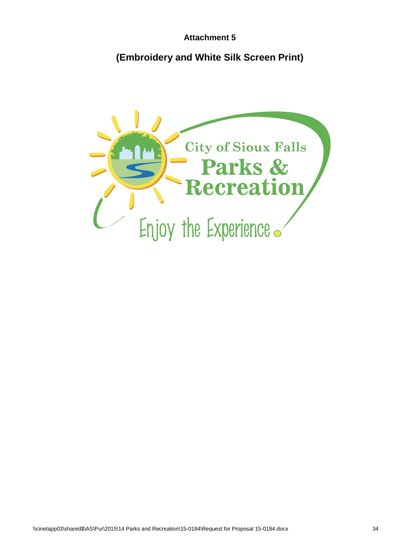## **(Embroidery and White Silk Screen Print)**

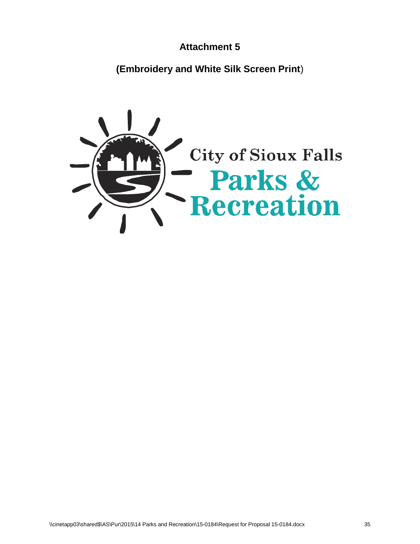**(Embroidery and White Silk Screen Print**)

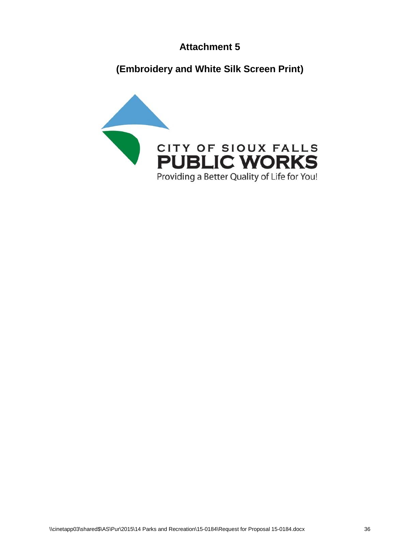**(Embroidery and White Silk Screen Print)**